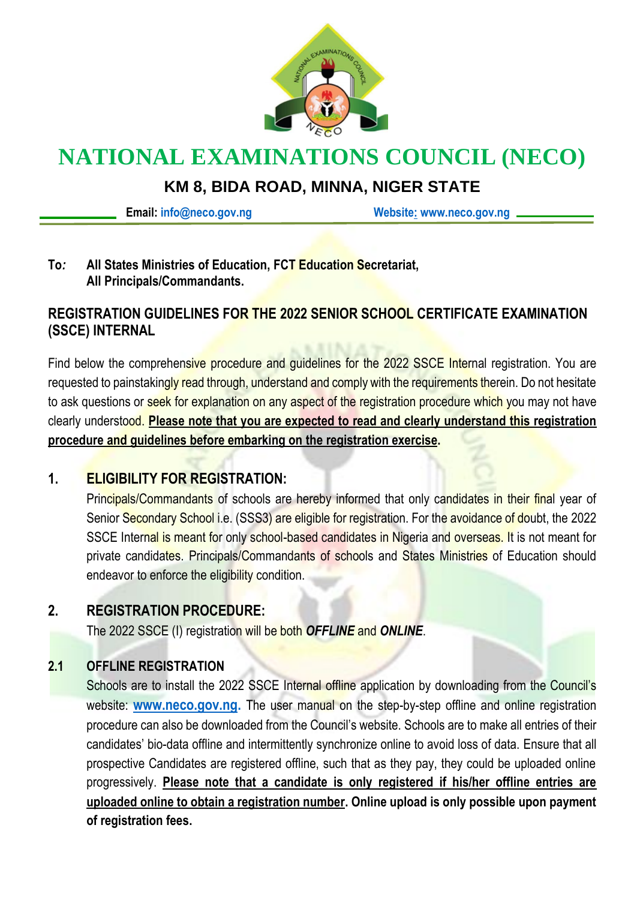

# **NATIONAL EXAMINATIONS COUNCIL (NECO)**

## **KM 8, BIDA ROAD, MINNA, NIGER STATE**

**Email: [info@neco.gov.ng](mailto:info@neco.gov.ng) [Website:](http://website/) www.neco.gov.ng**

#### **To***:* **All States Ministries of Education, FCT Education Secretariat, All Principals/Commandants.**

### **REGISTRATION GUIDELINES FOR THE 2022 SENIOR SCHOOL CERTIFICATE EXAMINATION (SSCE) INTERNAL**

Find below the comprehensive procedure and guidelines for the 2022 SSCE Internal registration. You are requested to painstakingly read through, understand and comply with the requirements therein. Do not hesitate to ask questions or seek for explanation on any aspect of the registration procedure which you may not have clearly understood. **Please note that you are expected to read and clearly understand this registration procedure and guidelines before embarking on the registration exercise.**

### **1. ELIGIBILITY FOR REGISTRATION:**

Principals/Commandants of schools are hereby informed that only candidates in their final year of Senior Secondary School i.e. (SSS3) are eligible for registration. For the avoidance of doubt, the 2022 SSCE Internal is meant for only school-based candidates in Nigeria and overseas. It is not meant for private candidates. Principals/Commandants of schools and States Ministries of Education should endeavor to enforce the eligibility condition.

#### **2. REGISTRATION PROCEDURE:**

The 2022 SSCE (I) registration will be both *OFFLINE* and *ONLINE*.

#### **2.1 OFFLINE REGISTRATION**

Schools are to install the 2022 SSCE Internal offline application by downloading from the Council's website: **[www.neco.gov.ng.](http://www.neco.gov.ng/)** The user manual on the step-by-step offline and online registration procedure can also be downloaded from the Council's website. Schools are to make all entries of their candidates' bio-data offline and intermittently synchronize online to avoid loss of data. Ensure that all prospective Candidates are registered offline, such that as they pay, they could be uploaded online progressively. **Please note that a candidate is only registered if his/her offline entries are uploaded online to obtain a registration number. Online upload is only possible upon payment of registration fees.**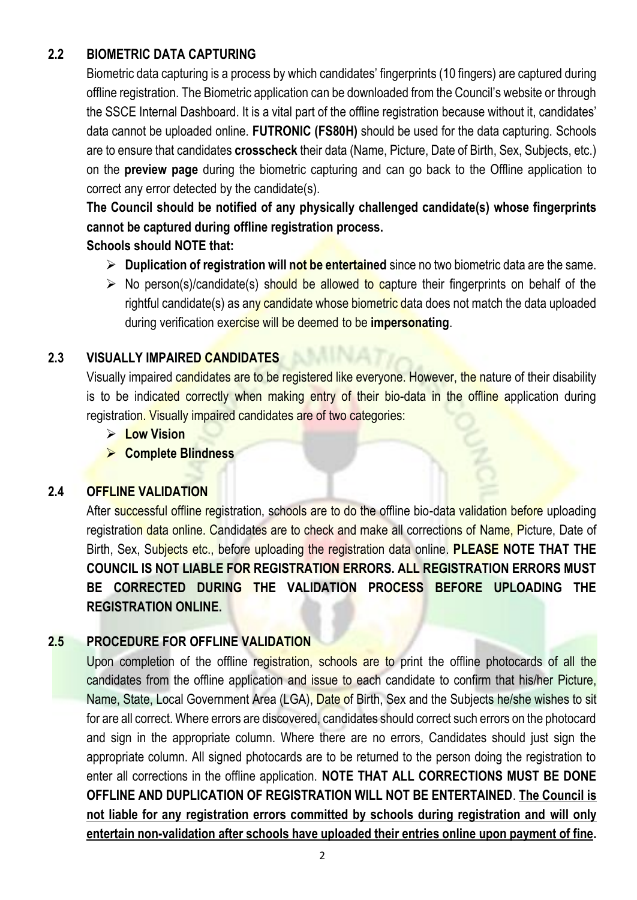### **2.2 BIOMETRIC DATA CAPTURING**

Biometric data capturing is a process by which candidates' fingerprints (10 fingers) are captured during offline registration. The Biometric application can be downloaded from the Council's website or through the SSCE Internal Dashboard. It is a vital part of the offline registration because without it, candidates' data cannot be uploaded online. **FUTRONIC (FS80H)** should be used for the data capturing. Schools are to ensure that candidates **crosscheck** their data (Name, Picture, Date of Birth, Sex, Subjects, etc.) on the **preview page** during the biometric capturing and can go back to the Offline application to correct any error detected by the candidate(s).

**The Council should be notified of any physically challenged candidate(s) whose fingerprints cannot be captured during offline registration process.**

#### **Schools should NOTE that:**

- ➢ **Duplication of registration will not be entertained** since no two biometric data are the same.
- $\triangleright$  No person(s)/candidate(s) should be allowed to capture their fingerprints on behalf of the rightful candidate(s) as any candidate whose biometric data does not match the data uploaded during verification exercise will be deemed to be **impersonating**.

#### **2.3 VISUALLY IMPAIRED CANDIDATES**

Visually impaired candidates are to be registered like everyone. However, the nature of their disability is to be indicated correctly when making entry of their bio-data in the offline application during registration. Visually impaired candidates are of two categories:

- ➢ **Low Vision**
- ➢ **Complete Blindness**

#### **2.4 OFFLINE VALIDATION**

After successful offline registration, schools are to do the offline bio-data validation before uploading registration data online. Candidates are to check and make all corrections of Name, Picture, Date of Birth, Sex, Subjects etc., before uploading the registration data online. **PLEASE NOTE THAT THE COUNCIL IS NOT LIABLE FOR REGISTRATION ERRORS. ALL REGISTRATION ERRORS MUST BE CORRECTED DURING THE VALIDATION PROCESS BEFORE UPLOADING THE REGISTRATION ONLINE.** 

#### **2.5 PROCEDURE FOR OFFLINE VALIDATION**

Upon completion of the offline registration, schools are to print the offline photocards of all the candidates from the offline application and issue to each candidate to confirm that his/her Picture, Name, State, Local Government Area (LGA), Date of Birth, Sex and the Subjects he/she wishes to sit for are all correct. Where errors are discovered, candidates should correct such errors on the photocard and sign in the appropriate column. Where there are no errors, Candidates should just sign the appropriate column. All signed photocards are to be returned to the person doing the registration to enter all corrections in the offline application. **NOTE THAT ALL CORRECTIONS MUST BE DONE OFFLINE AND DUPLICATION OF REGISTRATION WILL NOT BE ENTERTAINED**. **The Council is not liable for any registration errors committed by schools during registration and will only entertain non-validation after schools have uploaded their entries online upon payment of fine.**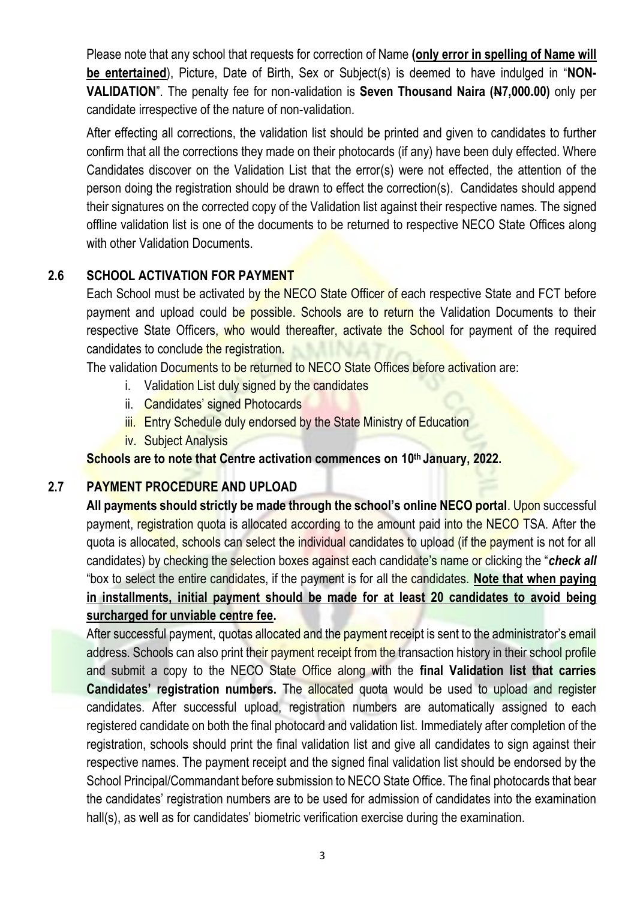Please note that any school that requests for correction of Name **(only error in spelling of Name will be entertained**), Picture, Date of Birth, Sex or Subject(s) is deemed to have indulged in "**NON-VALIDATION**". The penalty fee for non-validation is **Seven Thousand Naira (N7,000.00)** only per candidate irrespective of the nature of non-validation.

After effecting all corrections, the validation list should be printed and given to candidates to further confirm that all the corrections they made on their photocards (if any) have been duly effected. Where Candidates discover on the Validation List that the error(s) were not effected, the attention of the person doing the registration should be drawn to effect the correction(s). Candidates should append their signatures on the corrected copy of the Validation list against their respective names. The signed offline validation list is one of the documents to be returned to respective NECO State Offices along with other Validation Documents.

#### **2.6 SCHOOL ACTIVATION FOR PAYMENT**

Each School must be activated by the NECO State Officer of each respective State and FCT before payment and upload could be possible. Schools are to return the Validation Documents to their respective State Officers, who would thereafter, activate the School for payment of the required candidates to conclude the registration.

The validation Documents to be returned to NECO State Offices before activation are:

- i. Validation List duly signed by the candidates
- ii. Candidates' signed Photocards
- iii. Entry Schedule duly endorsed by the State Ministry of Education
- iv. Subject Analysis

**Schools are to note that Centre activation commences on 10 th January, 2022.**

#### **2.7 PAYMENT PROCEDURE AND UPLOAD**

All payments should strictly be made through the school's online NECO portal. Upon successful payment, registration quota is allocated according to the amount paid into the NECO TSA. After the quota is allocated, schools can select the individual candidates to upload (if the payment is not for all candidates) by checking the selection boxes against each candidate's name or clicking the "*check all* "box to select the entire candidates, if the payment is for all the candidates. **Note that when paying in installments, initial payment should be made for at least 20 candidates to avoid being surcharged for unviable centre fee.**

After successful payment, quotas allocated and the payment receipt is sent to the administrator's email address. Schools can also print their payment receipt from the transaction history in their school profile and submit a copy to the NECO State Office along with the **final Validation list that carries Candidates' registration numbers.** The allocated quota would be used to upload and register candidates. After successful upload, registration numbers are automatically assigned to each registered candidate on both the final photocard and validation list. Immediately after completion of the registration, schools should print the final validation list and give all candidates to sign against their respective names. The payment receipt and the signed final validation list should be endorsed by the School Principal/Commandant before submission to NECO State Office. The final photocards that bear the candidates' registration numbers are to be used for admission of candidates into the examination hall(s), as well as for candidates' biometric verification exercise during the examination.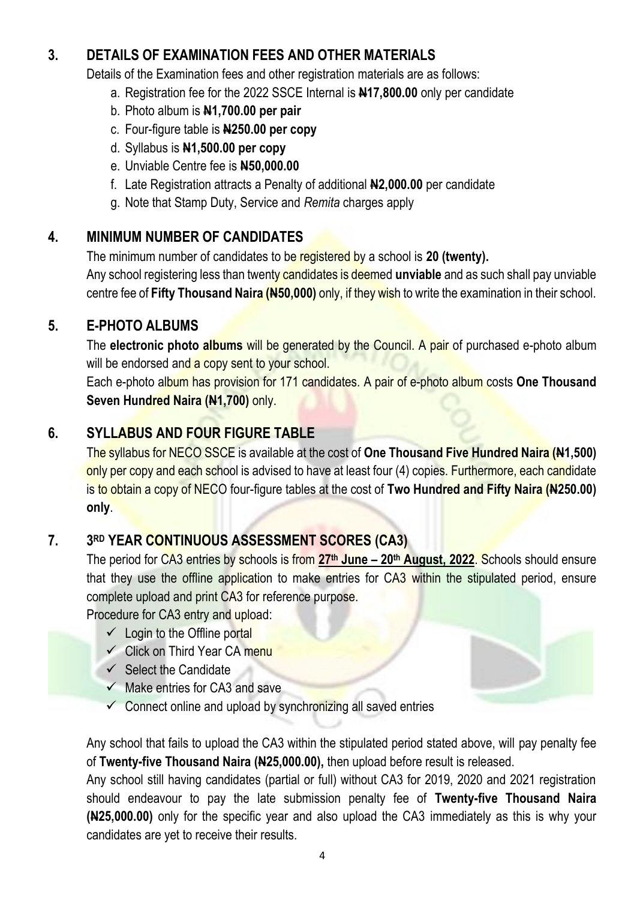### **3. DETAILS OF EXAMINATION FEES AND OTHER MATERIALS**

Details of the Examination fees and other registration materials are as follows:

- a. Registration fee for the 2022 SSCE Internal is **N17,800.00** only per candidate
- b. Photo album is **N1,700.00 per pair**
- c. Four-figure table is **N250.00 per copy**
- d. Syllabus is **N1,500.00 per copy**
- e. Unviable Centre fee is **N50,000.00**
- f. Late Registration attracts a Penalty of additional **N2,000.00** per candidate
- g. Note that Stamp Duty, Service and *Remita* charges apply

### **4. MINIMUM NUMBER OF CANDIDATES**

The minimum number of candidates to be registered by a school is **20 (twenty).**

Any school registering less than twenty candidates is deemed **unviable** and as such shall pay unviable centre fee of **Fifty Thousand Naira (N50,000)** only, if they wish to write the examination in their school.

### **5. E-PHOTO ALBUMS**

The **electronic photo albums** will be generated by the Council. A pair of purchased e-photo album will be endorsed and a copy sent to your school.

Each e-photo album has provision for 171 candidates. A pair of e-photo album costs **One Thousand Seven Hundred Naira (N1,700)** only.

### **6. SYLLABUS AND FOUR FIGURE TABLE**

The syllabus for NECO SSCE is available at the cost of **One Thousand Five Hundred Naira (N1,500)** only per copy and each school is advised to have at least four (4) copies. Furthermore, each candidate is to obtain a copy of NECO four-figure tables at the cost of **Two Hundred and Fifty Naira (N250.00) only**.

#### **7. 3 RD YEAR CONTINUOUS ASSESSMENT SCORES (CA3)**

The period for CA3 entries by schools is from **27th June – 20th August, 2022**. Schools should ensure that they use the offline application to make entries for CA3 within the stipulated period, ensure complete upload and print CA3 for reference purpose.

Procedure for CA3 entry and upload:

- $\checkmark$  Login to the Offline portal
- $\checkmark$  Click on Third Year CA menu
- $\checkmark$  Select the Candidate
- $\checkmark$  Make entries for CA3 and save
- $\checkmark$  Connect online and upload by synchronizing all saved entries

Any school that fails to upload the CA3 within the stipulated period stated above, will pay penalty fee of **Twenty-five Thousand Naira (N25,000.00),** then upload before result is released.

Any school still having candidates (partial or full) without CA3 for 2019, 2020 and 2021 registration should endeavour to pay the late submission penalty fee of **Twenty-five Thousand Naira (N25,000.00)** only for the specific year and also upload the CA3 immediately as this is why your candidates are yet to receive their results.